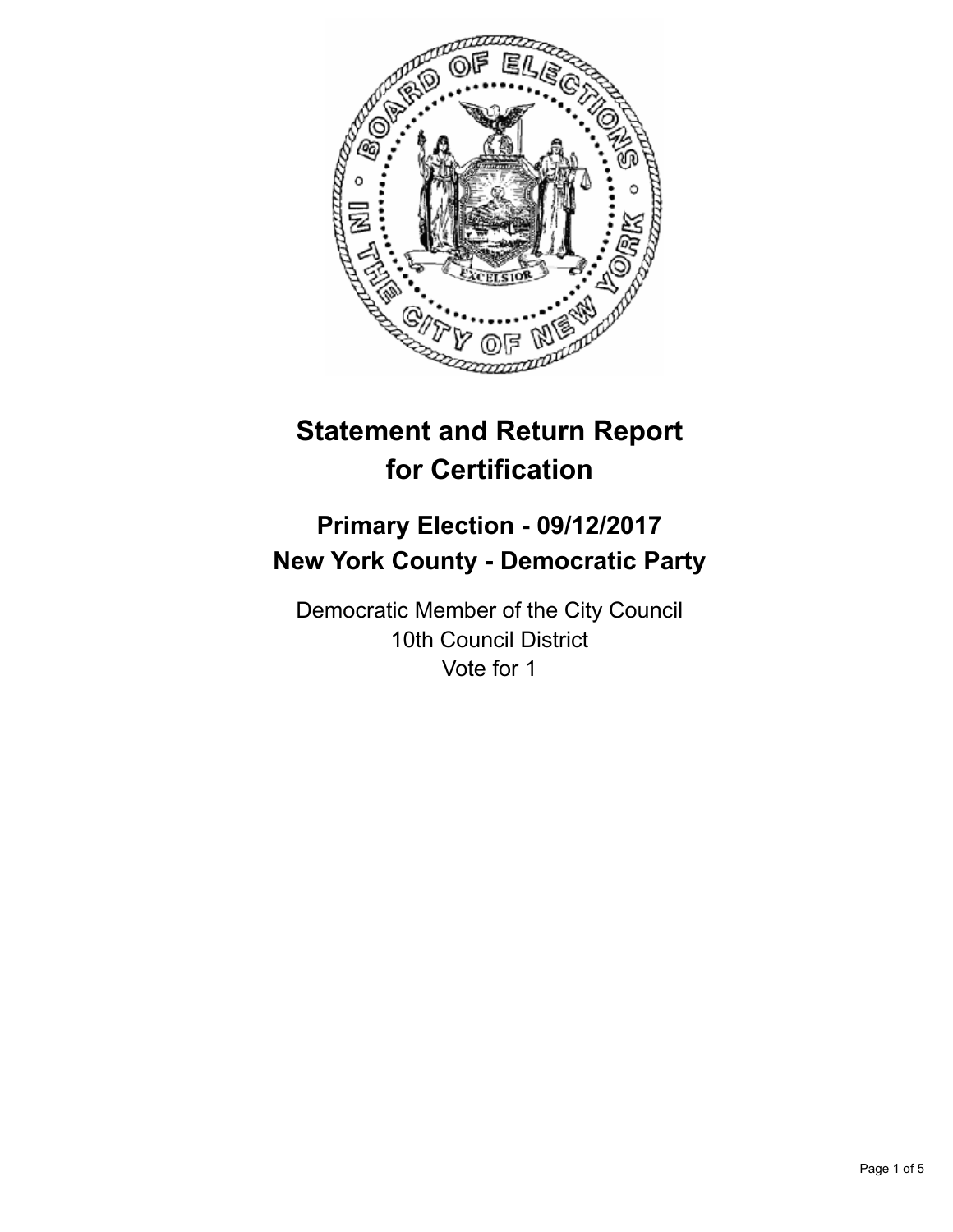

# **Statement and Return Report for Certification**

## **Primary Election - 09/12/2017 New York County - Democratic Party**

Democratic Member of the City Council 10th Council District Vote for 1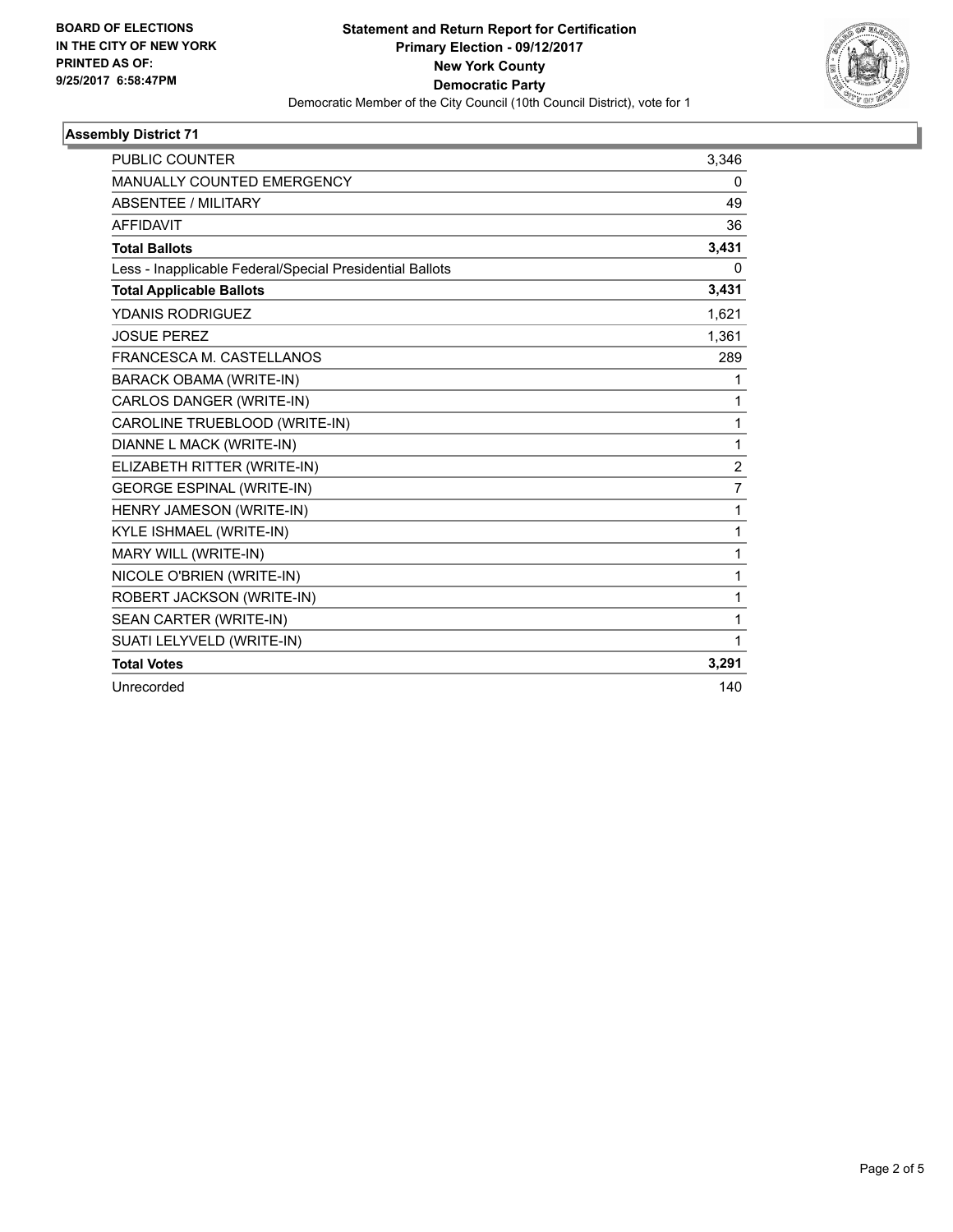

### **Assembly District 71**

| <b>PUBLIC COUNTER</b>                                    | 3,346          |
|----------------------------------------------------------|----------------|
| MANUALLY COUNTED EMERGENCY                               | 0              |
| <b>ABSENTEE / MILITARY</b>                               | 49             |
| <b>AFFIDAVIT</b>                                         | 36             |
| <b>Total Ballots</b>                                     | 3,431          |
| Less - Inapplicable Federal/Special Presidential Ballots | 0              |
| <b>Total Applicable Ballots</b>                          | 3,431          |
| YDANIS RODRIGUEZ                                         | 1,621          |
| <b>JOSUE PEREZ</b>                                       | 1,361          |
| FRANCESCA M. CASTELLANOS                                 | 289            |
| <b>BARACK OBAMA (WRITE-IN)</b>                           | 1              |
| CARLOS DANGER (WRITE-IN)                                 | 1              |
| CAROLINE TRUEBLOOD (WRITE-IN)                            | 1              |
| DIANNE L MACK (WRITE-IN)                                 | 1              |
| ELIZABETH RITTER (WRITE-IN)                              | $\overline{2}$ |
| <b>GEORGE ESPINAL (WRITE-IN)</b>                         | $\overline{7}$ |
| HENRY JAMESON (WRITE-IN)                                 | 1              |
| KYLE ISHMAEL (WRITE-IN)                                  | 1              |
| MARY WILL (WRITE-IN)                                     | 1              |
| NICOLE O'BRIEN (WRITE-IN)                                | 1              |
| ROBERT JACKSON (WRITE-IN)                                | 1              |
| SEAN CARTER (WRITE-IN)                                   | 1              |
| SUATI LELYVELD (WRITE-IN)                                | 1              |
| <b>Total Votes</b>                                       | 3,291          |
| Unrecorded                                               | 140            |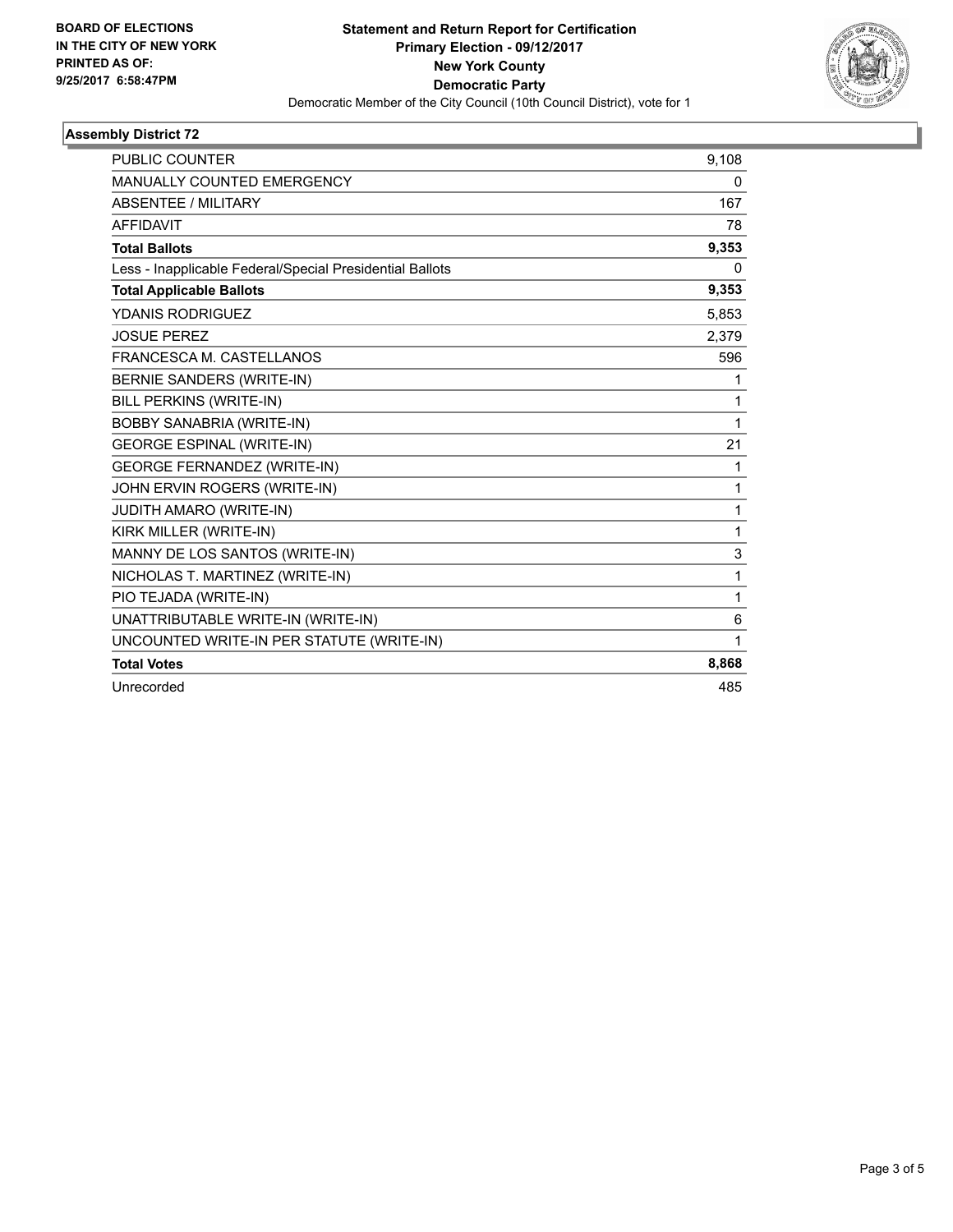

### **Assembly District 72**

| <b>PUBLIC COUNTER</b>                                    | 9,108 |
|----------------------------------------------------------|-------|
| MANUALLY COUNTED EMERGENCY                               | 0     |
| <b>ABSENTEE / MILITARY</b>                               | 167   |
| <b>AFFIDAVIT</b>                                         | 78    |
| <b>Total Ballots</b>                                     | 9,353 |
| Less - Inapplicable Federal/Special Presidential Ballots | 0     |
| <b>Total Applicable Ballots</b>                          | 9,353 |
| YDANIS RODRIGUEZ                                         | 5,853 |
| <b>JOSUE PEREZ</b>                                       | 2,379 |
| FRANCESCA M. CASTELLANOS                                 | 596   |
| <b>BERNIE SANDERS (WRITE-IN)</b>                         | 1     |
| <b>BILL PERKINS (WRITE-IN)</b>                           | 1     |
| <b>BOBBY SANABRIA (WRITE-IN)</b>                         | 1     |
| <b>GEORGE ESPINAL (WRITE-IN)</b>                         | 21    |
| <b>GEORGE FERNANDEZ (WRITE-IN)</b>                       | 1     |
| JOHN ERVIN ROGERS (WRITE-IN)                             | 1     |
| JUDITH AMARO (WRITE-IN)                                  | 1     |
| KIRK MILLER (WRITE-IN)                                   | 1     |
| MANNY DE LOS SANTOS (WRITE-IN)                           | 3     |
| NICHOLAS T. MARTINEZ (WRITE-IN)                          | 1     |
| PIO TEJADA (WRITE-IN)                                    | 1     |
| UNATTRIBUTABLE WRITE-IN (WRITE-IN)                       | 6     |
| UNCOUNTED WRITE-IN PER STATUTE (WRITE-IN)                | 1     |
| <b>Total Votes</b>                                       | 8,868 |
| Unrecorded                                               | 485   |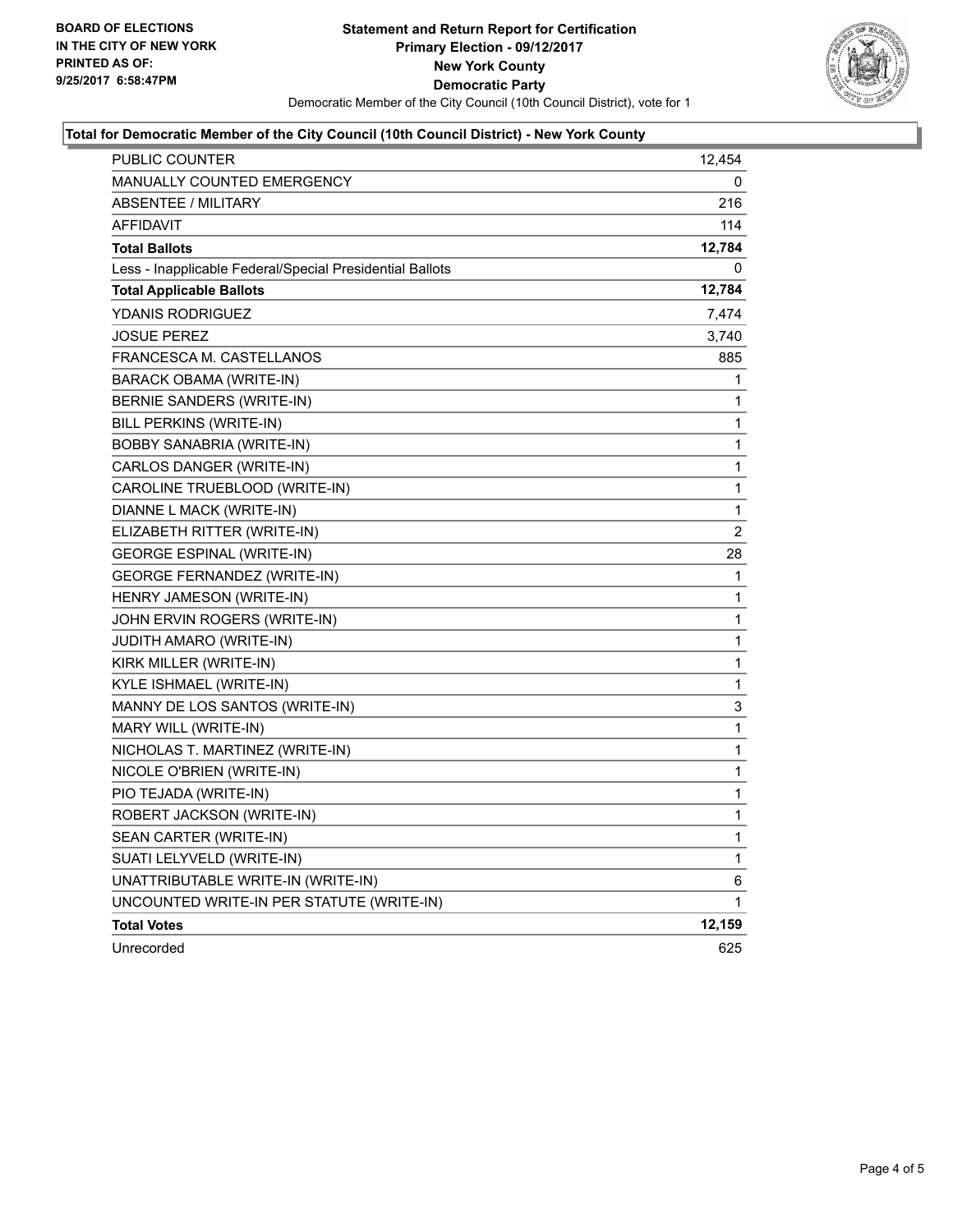

#### **Total for Democratic Member of the City Council (10th Council District) - New York County**

| PUBLIC COUNTER                                           | 12,454      |
|----------------------------------------------------------|-------------|
| MANUALLY COUNTED EMERGENCY                               | 0           |
| <b>ABSENTEE / MILITARY</b>                               | 216         |
| <b>AFFIDAVIT</b>                                         | 114         |
| <b>Total Ballots</b>                                     | 12,784      |
| Less - Inapplicable Federal/Special Presidential Ballots | 0           |
| <b>Total Applicable Ballots</b>                          | 12,784      |
| YDANIS RODRIGUEZ                                         | 7,474       |
| <b>JOSUE PEREZ</b>                                       | 3,740       |
| FRANCESCA M. CASTELLANOS                                 | 885         |
| BARACK OBAMA (WRITE-IN)                                  | 1           |
| BERNIE SANDERS (WRITE-IN)                                | 1           |
| BILL PERKINS (WRITE-IN)                                  | 1           |
| <b>BOBBY SANABRIA (WRITE-IN)</b>                         | 1           |
| CARLOS DANGER (WRITE-IN)                                 | 1           |
| CAROLINE TRUEBLOOD (WRITE-IN)                            | 1           |
| DIANNE L MACK (WRITE-IN)                                 | 1           |
| ELIZABETH RITTER (WRITE-IN)                              | 2           |
| <b>GEORGE ESPINAL (WRITE-IN)</b>                         | 28          |
| GEORGE FERNANDEZ (WRITE-IN)                              | $\mathbf 1$ |
| HENRY JAMESON (WRITE-IN)                                 | 1           |
| JOHN ERVIN ROGERS (WRITE-IN)                             | 1           |
| JUDITH AMARO (WRITE-IN)                                  | 1           |
| KIRK MILLER (WRITE-IN)                                   | 1           |
| KYLE ISHMAEL (WRITE-IN)                                  | 1           |
| MANNY DE LOS SANTOS (WRITE-IN)                           | 3           |
| MARY WILL (WRITE-IN)                                     | 1           |
| NICHOLAS T. MARTINEZ (WRITE-IN)                          | 1           |
| NICOLE O'BRIEN (WRITE-IN)                                | 1           |
| PIO TEJADA (WRITE-IN)                                    | 1           |
| ROBERT JACKSON (WRITE-IN)                                | 1           |
| SEAN CARTER (WRITE-IN)                                   | 1           |
| SUATI LELYVELD (WRITE-IN)                                | 1           |
| UNATTRIBUTABLE WRITE-IN (WRITE-IN)                       | 6           |
| UNCOUNTED WRITE-IN PER STATUTE (WRITE-IN)                | 1           |
| <b>Total Votes</b>                                       | 12,159      |
| Unrecorded                                               | 625         |